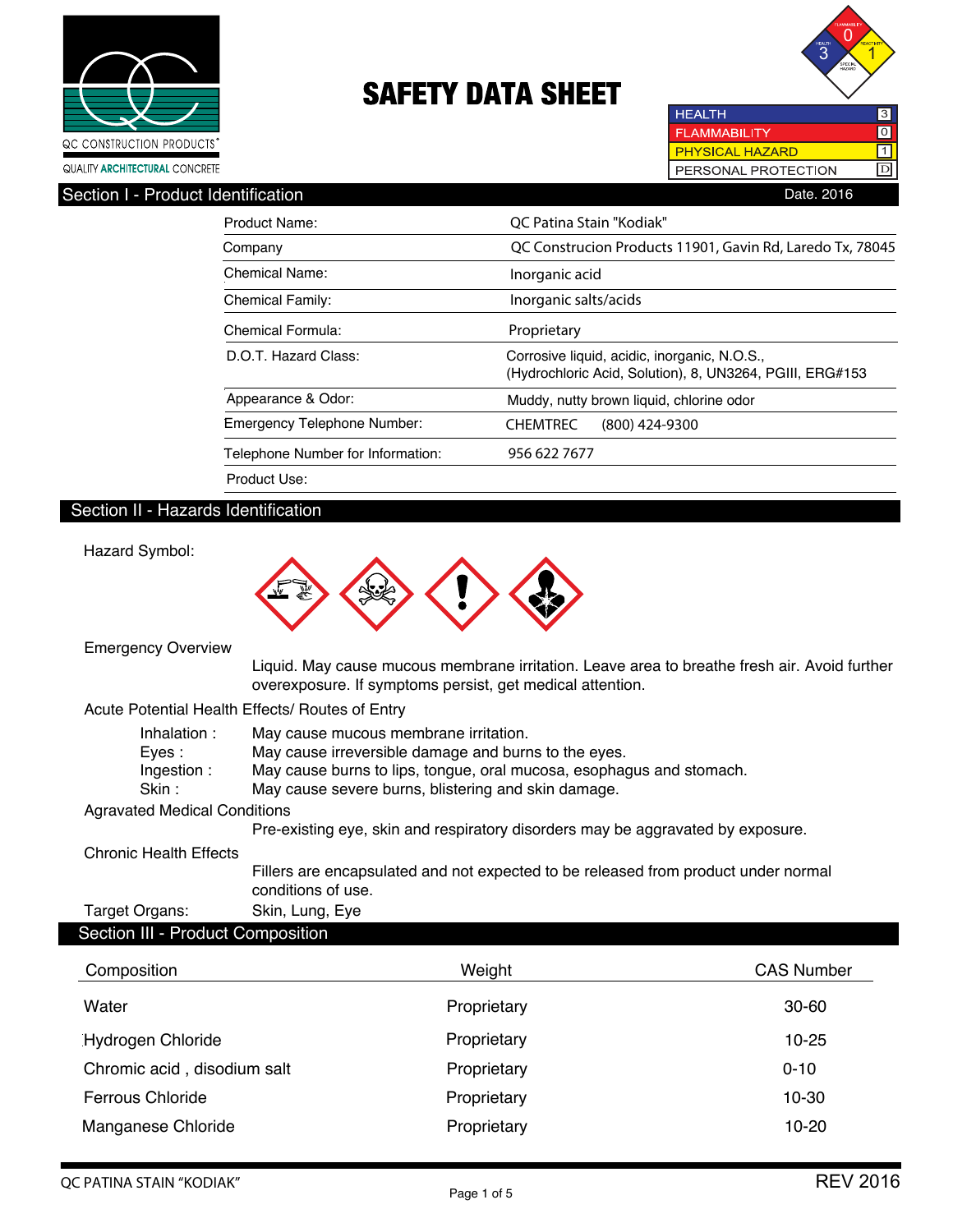



 $\overline{10}$ 

**HEALTH FLAMMABILITY PHYSICAL HAZARD**  $\Box$  $\boxed{D}$ PERSONAL PROTECTION

Section I - Product Identification **Date. 2016** 

| QC Construcion Products 11901, Gavin Rd, Laredo Tx, 78045 |
|-----------------------------------------------------------|
|                                                           |
|                                                           |
|                                                           |
|                                                           |
| (Hydrochloric Acid, Solution), 8, UN3264, PGIII, ERG#153  |
|                                                           |
|                                                           |
|                                                           |
|                                                           |
|                                                           |

# Section II - Hazards Identification

Hazard Symbol:

| <b>Emergency Overview</b>                       |                    |                                       |             |                                                                                                                                                                                     |                   |
|-------------------------------------------------|--------------------|---------------------------------------|-------------|-------------------------------------------------------------------------------------------------------------------------------------------------------------------------------------|-------------------|
|                                                 |                    |                                       |             | Liquid. May cause mucous membrane irritation. Leave area to breathe fresh air. Avoid further<br>overexposure. If symptoms persist, get medical attention.                           |                   |
| Acute Potential Health Effects/ Routes of Entry |                    |                                       |             |                                                                                                                                                                                     |                   |
| Inhalation:<br>Eyes :<br>Ingestion:<br>Skin :   |                    | May cause mucous membrane irritation. |             | May cause irreversible damage and burns to the eyes.<br>May cause burns to lips, tongue, oral mucosa, esophagus and stomach.<br>May cause severe burns, blistering and skin damage. |                   |
| <b>Agravated Medical Conditions</b>             |                    |                                       |             |                                                                                                                                                                                     |                   |
|                                                 |                    |                                       |             | Pre-existing eye, skin and respiratory disorders may be aggravated by exposure.                                                                                                     |                   |
| <b>Chronic Health Effects</b>                   |                    |                                       |             |                                                                                                                                                                                     |                   |
|                                                 | conditions of use. |                                       |             | Fillers are encapsulated and not expected to be released from product under normal                                                                                                  |                   |
| Target Organs:                                  | Skin, Lung, Eye    |                                       |             |                                                                                                                                                                                     |                   |
| Section III - Product Composition               |                    |                                       |             |                                                                                                                                                                                     |                   |
| Composition                                     |                    |                                       | Weight      |                                                                                                                                                                                     | <b>CAS Number</b> |
| Water                                           |                    |                                       | Proprietary |                                                                                                                                                                                     | 30-60             |

| Water                       | Proprietary | $30 - 60$ |
|-----------------------------|-------------|-----------|
| <b>Hydrogen Chloride</b>    | Proprietary | $10 - 25$ |
| Chromic acid, disodium salt | Proprietary | $0 - 10$  |
| <b>Ferrous Chloride</b>     | Proprietary | 10-30     |
| Manganese Chloride          | Proprietary | $10 - 20$ |
|                             |             |           |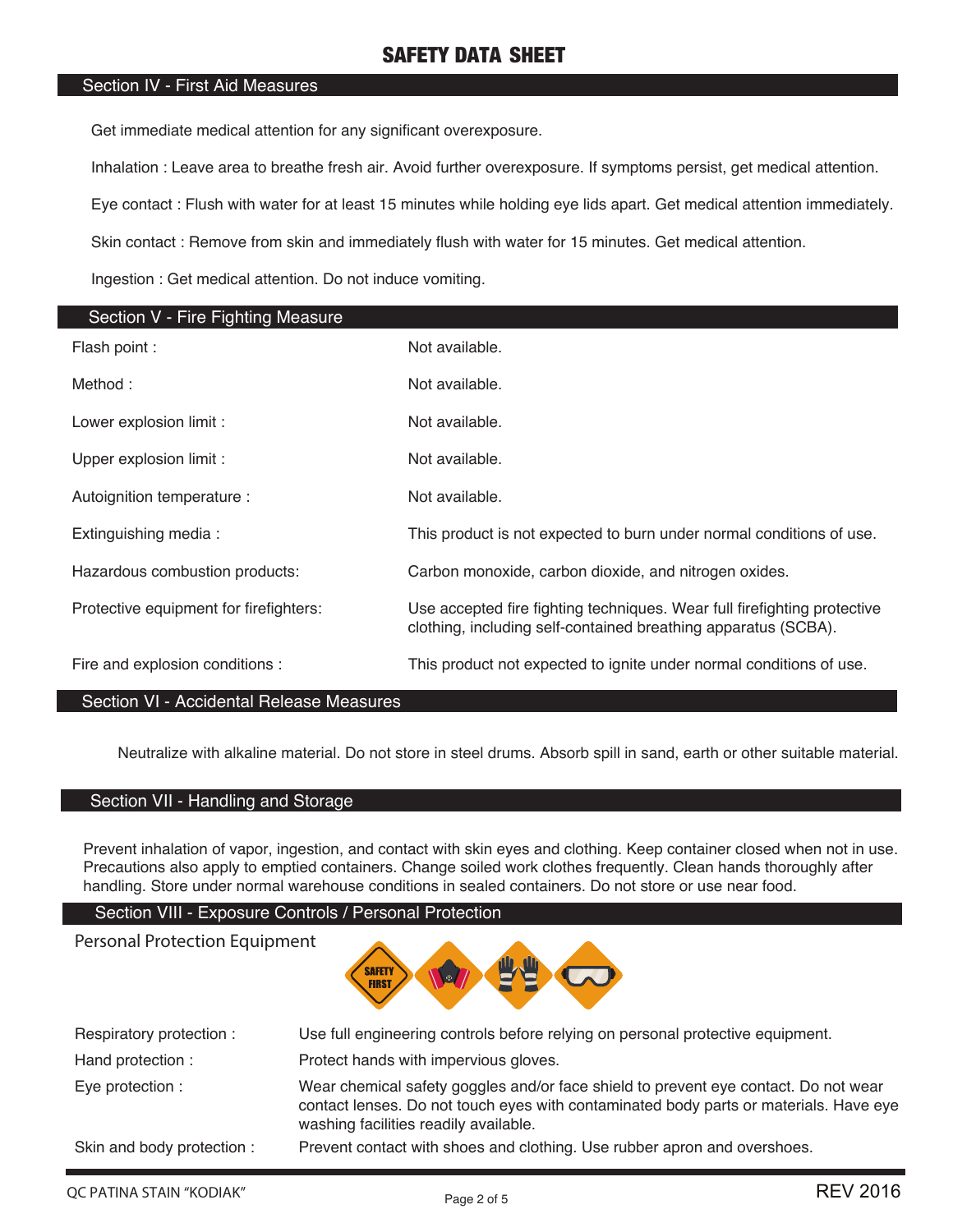### Section IV - First Aid Measures

Get immediate medical attention for any significant overexposure.

Inhalation : Leave area to breathe fresh air. Avoid further overexposure. If symptoms persist, get medical attention.

Eye contact : Flush with water for at least 15 minutes while holding eye lids apart. Get medical attention immediately.

Skin contact : Remove from skin and immediately flush with water for 15 minutes. Get medical attention.

Ingestion : Get medical attention. Do not induce vomiting.

| Section V - Fire Fighting Measure      |                                                                                                                                            |
|----------------------------------------|--------------------------------------------------------------------------------------------------------------------------------------------|
| Flash point :                          | Not available.                                                                                                                             |
| Method:                                | Not available.                                                                                                                             |
| Lower explosion limit :                | Not available.                                                                                                                             |
| Upper explosion limit :                | Not available.                                                                                                                             |
| Autoignition temperature :             | Not available.                                                                                                                             |
| Extinguishing media:                   | This product is not expected to burn under normal conditions of use.                                                                       |
| Hazardous combustion products:         | Carbon monoxide, carbon dioxide, and nitrogen oxides.                                                                                      |
| Protective equipment for firefighters: | Use accepted fire fighting techniques. Wear full firefighting protective<br>clothing, including self-contained breathing apparatus (SCBA). |
| Fire and explosion conditions :        | This product not expected to ignite under normal conditions of use.                                                                        |

### Section VI - Accidental Release Measures

Neutralize with alkaline material. Do not store in steel drums. Absorb spill in sand, earth or other suitable material.

### Section VII - Handling and Storage

Personal Protection Equipment

Prevent inhalation of vapor, ingestion, and contact with skin eyes and clothing. Keep container closed when not in use. Precautions also apply to emptied containers. Change soiled work clothes frequently. Clean hands thoroughly after handling. Store under normal warehouse conditions in sealed containers. Do not store or use near food.

### Section VIII - Exposure Controls / Personal Protection



| Respiratory protection:    | Use full engineering controls before relying on personal protective equipment.                                                                                                                                        |
|----------------------------|-----------------------------------------------------------------------------------------------------------------------------------------------------------------------------------------------------------------------|
| Hand protection :          | Protect hands with impervious gloves.                                                                                                                                                                                 |
| Eye protection :           | Wear chemical safety goggles and/or face shield to prevent eye contact. Do not wear<br>contact lenses. Do not touch eyes with contaminated body parts or materials. Have eye<br>washing facilities readily available. |
| Skin and body protection : | Prevent contact with shoes and clothing. Use rubber apron and overshoes.                                                                                                                                              |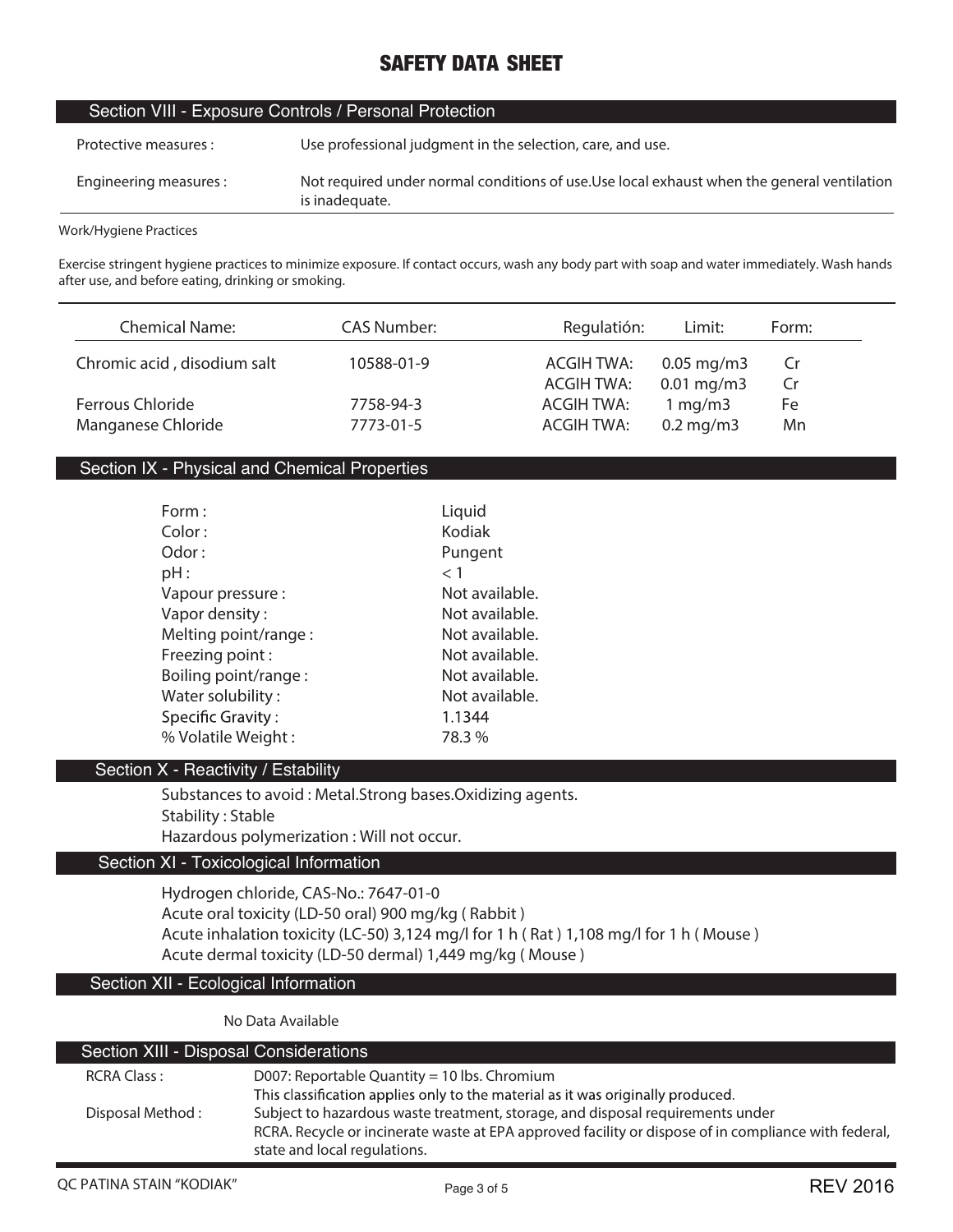### Section VIII - Exposure Controls / Personal Protection

| Protective measures :  | Use professional judgment in the selection, care, and use.                                                    |
|------------------------|---------------------------------------------------------------------------------------------------------------|
| Engineering measures : | Not required under normal conditions of use. Use local exhaust when the general ventilation<br>is inadequate. |

#### **Work/Hygiene Practices**

**Exercise stringent hygiene practices to minimize exposure. If contact occurs, wash any body part with soap and water immediately. Wash hands after use, and before eating, drinking or smoking.**

| <b>Chemical Name:</b>       | CAS Number: | Regulatión:       | Limit:                  | Form: |
|-----------------------------|-------------|-------------------|-------------------------|-------|
| Chromic acid, disodium salt | 10588-01-9  | <b>ACGIH TWA:</b> | $0.05 \,\mathrm{mg/m}$  | .Cr   |
|                             |             | <b>ACGIH TWA:</b> | $0.01 \,\mathrm{mg/m3}$ | Cr    |
| Ferrous Chloride            | 7758-94-3   | ACGIH TWA:        | 1 mg/m3                 | Fe    |
| Manganese Chloride          | 7773-01-5   | ACGIH TWA:        | $0.2$ mg/m $3$          | Mn    |

### Section IX - Physical and Chemical Properties

| Form:                    | Liquid         |
|--------------------------|----------------|
| Color:                   | Kodiak         |
| Odor:                    | Pungent        |
| pH:                      | < 1            |
| Vapour pressure:         | Not available. |
| Vapor density:           | Not available. |
| Melting point/range:     | Not available. |
| Freezing point:          | Not available. |
| Boiling point/range:     | Not available. |
| Water solubility:        | Not available. |
| <b>Specific Gravity:</b> | 1.1344         |
| % Volatile Weight:       | 78.3%          |

#### Section X - Reactivity / Estability

**Substances to avoid : Metal.Strong bases.Oxidizing agents. Stability : Stable Hazardous polymerization : Will not occur.**

### Section XI - Toxicological Information

**Hydrogen chloride, CAS-No.: 7647-01-0 Acute oral toxicity (LD-50 oral) 900 mg/kg ( Rabbit ) Acute inhalation toxicity (LC-50) 3,124 mg/l for 1 h ( Rat ) 1,108 mg/l for 1 h ( Mouse ) Acute dermal toxicity (LD-50 dermal) 1,449 mg/kg ( Mouse )**

### Section XII - Ecological Information

**No Data Available**

| Section XIII - Disposal Considerations |                                                                                                      |
|----------------------------------------|------------------------------------------------------------------------------------------------------|
| <b>RCRA Class:</b>                     | D007: Reportable Quantity = 10 lbs. Chromium                                                         |
|                                        | This classification applies only to the material as it was originally produced.                      |
| Disposal Method:                       | Subject to hazardous waste treatment, storage, and disposal requirements under                       |
|                                        | RCRA. Recycle or incinerate waste at EPA approved facility or dispose of in compliance with federal, |
|                                        | state and local regulations.                                                                         |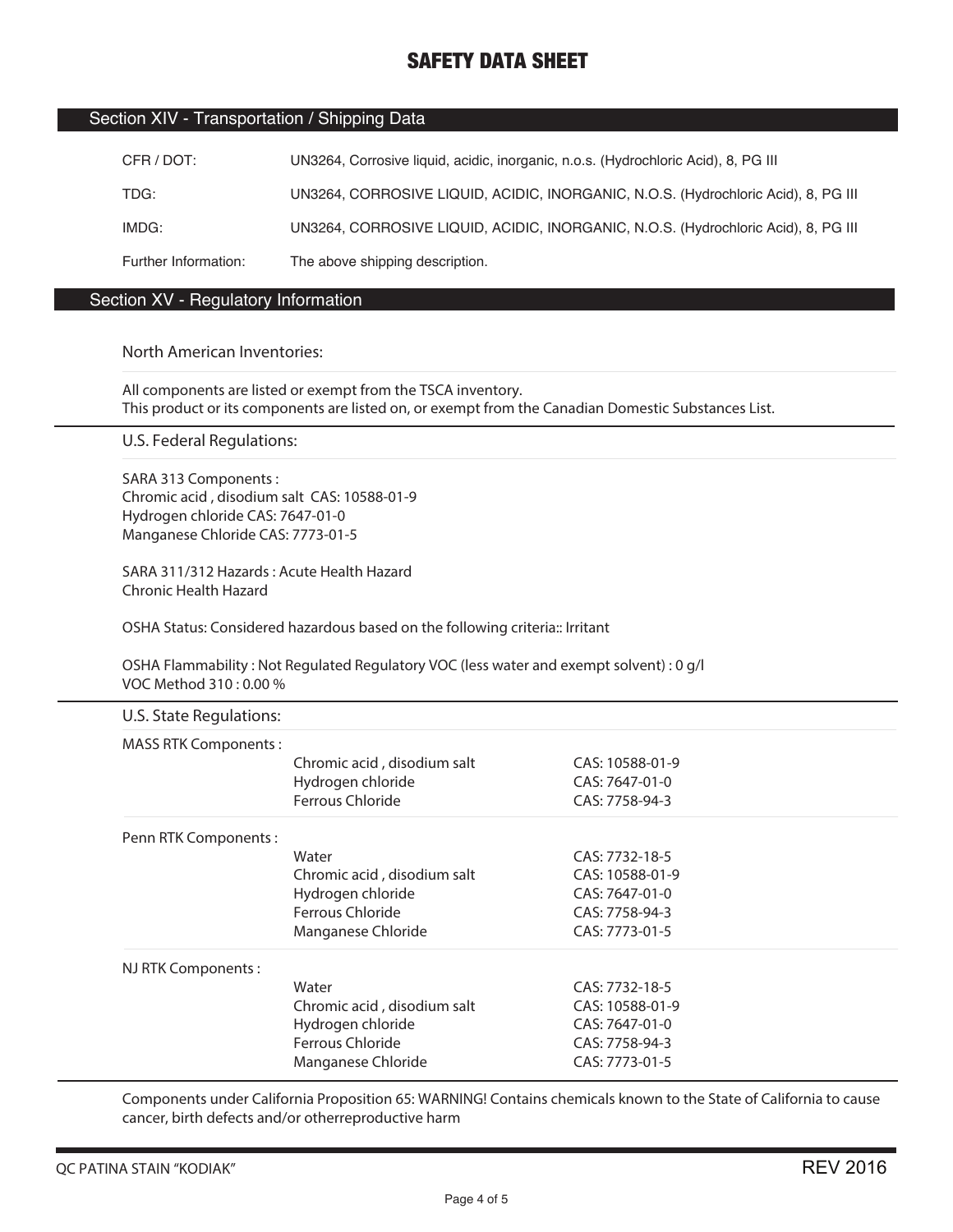### Section XIV - Transportation / Shipping Data

| CFR / DOT:           | UN3264, Corrosive liquid, acidic, inorganic, n.o.s. (Hydrochloric Acid), 8, PG III |
|----------------------|------------------------------------------------------------------------------------|
| TDG:                 | UN3264, CORROSIVE LIQUID, ACIDIC, INORGANIC, N.O.S. (Hydrochloric Acid), 8, PG III |
| IMDG:                | UN3264, CORROSIVE LIQUID, ACIDIC, INORGANIC, N.O.S. (Hydrochloric Acid), 8, PG III |
| Further Information: | The above shipping description.                                                    |

### Section XV - Regulatory Information

#### **North American Inventories:**

**All components are listed or exempt from the TSCA inventory. This product or its components are listed on, or exempt from the Canadian Domestic Substances List.**

**U.S. Federal Regulations:**

**SARA 313 Components : Chromic acid , disodium salt CAS: 10588-01-9 Hydrogen chloride CAS: 7647-01-0 Manganese Chloride CAS: 7773-01-5**

**SARA 311/312 Hazards : Acute Health Hazard Chronic Health Hazard**

**OSHA Status: Considered hazardous based on the following criteria:: Irritant**

**OSHA Flammability : Not Regulated Regulatory VOC (less water and exempt solvent) : 0 g/l VOC Method 310 : 0.00 %**

| U.S. State Regulations:     |                             |                 |
|-----------------------------|-----------------------------|-----------------|
| <b>MASS RTK Components:</b> |                             |                 |
|                             | Chromic acid, disodium salt | CAS: 10588-01-9 |
|                             | Hydrogen chloride           | CAS: 7647-01-0  |
|                             | Ferrous Chloride            | CAS: 7758-94-3  |
| Penn RTK Components:        |                             |                 |
|                             | Water                       | CAS: 7732-18-5  |
|                             | Chromic acid, disodium salt | CAS: 10588-01-9 |
|                             | Hydrogen chloride           | CAS: 7647-01-0  |
|                             | Ferrous Chloride            | CAS: 7758-94-3  |
|                             | Manganese Chloride          | CAS: 7773-01-5  |
| NJ RTK Components:          |                             |                 |
|                             | Water                       | CAS: 7732-18-5  |
|                             | Chromic acid, disodium salt | CAS: 10588-01-9 |
|                             | Hydrogen chloride           | CAS: 7647-01-0  |
|                             | Ferrous Chloride            | CAS: 7758-94-3  |
|                             | Manganese Chloride          | CAS: 7773-01-5  |

**Components under California Proposition 65: WARNING! Contains chemicals known to the State of California to cause cancer, birth defects and/or otherreproductive harm**